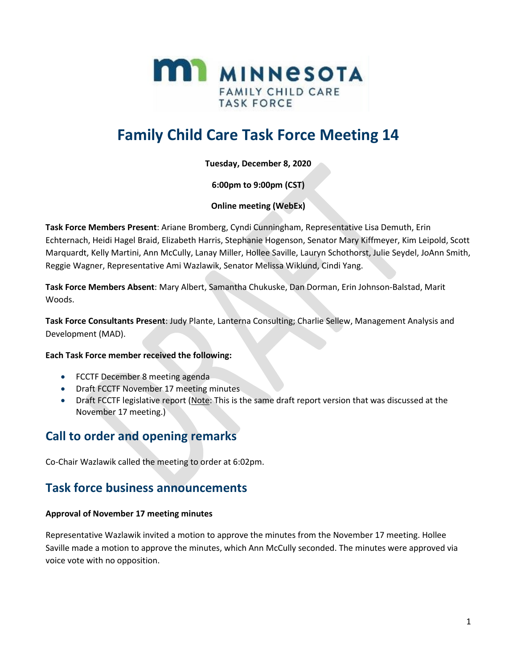

# **Family Child Care Task Force Meeting 14**

**Tuesday, December 8, 2020**

**6:00pm to 9:00pm (CST)**

### **Online meeting (WebEx)**

**Task Force Members Present**: Ariane Bromberg, Cyndi Cunningham, Representative Lisa Demuth, Erin Echternach, Heidi Hagel Braid, Elizabeth Harris, Stephanie Hogenson, Senator Mary Kiffmeyer, Kim Leipold, Scott Marquardt, Kelly Martini, Ann McCully, Lanay Miller, Hollee Saville, Lauryn Schothorst, Julie Seydel, JoAnn Smith, Reggie Wagner, Representative Ami Wazlawik, Senator Melissa Wiklund, Cindi Yang.

**Task Force Members Absent**: Mary Albert, Samantha Chukuske, Dan Dorman, Erin Johnson-Balstad, Marit Woods.

**Task Force Consultants Present**: Judy Plante, Lanterna Consulting; Charlie Sellew, Management Analysis and Development (MAD).

### **Each Task Force member received the following:**

- FCCTF December 8 meeting agenda
- Draft FCCTF November 17 meeting minutes
- Draft FCCTF legislative report (Note: This is the same draft report version that was discussed at the November 17 meeting.)

### **Call to order and opening remarks**

Co-Chair Wazlawik called the meeting to order at 6:02pm.

### **Task force business announcements**

### **Approval of November 17 meeting minutes**

Representative Wazlawik invited a motion to approve the minutes from the November 17 meeting. Hollee Saville made a motion to approve the minutes, which Ann McCully seconded. The minutes were approved via voice vote with no opposition.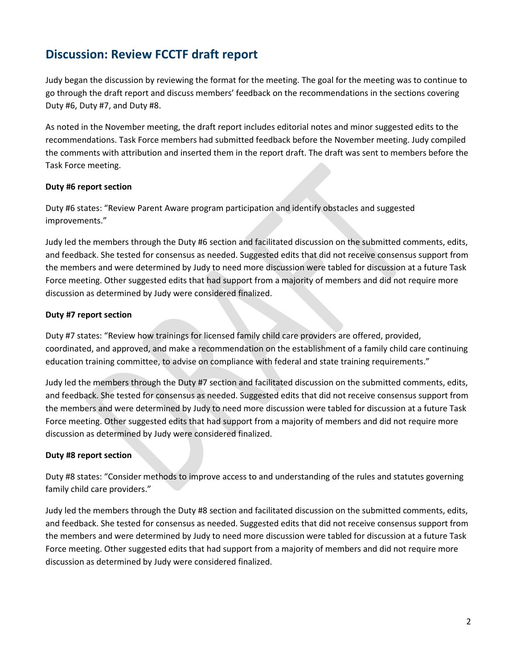### **Discussion: Review FCCTF draft report**

Judy began the discussion by reviewing the format for the meeting. The goal for the meeting was to continue to go through the draft report and discuss members' feedback on the recommendations in the sections covering Duty #6, Duty #7, and Duty #8.

As noted in the November meeting, the draft report includes editorial notes and minor suggested edits to the recommendations. Task Force members had submitted feedback before the November meeting. Judy compiled the comments with attribution and inserted them in the report draft. The draft was sent to members before the Task Force meeting.

### **Duty #6 report section**

Duty #6 states: "Review Parent Aware program participation and identify obstacles and suggested improvements."

Judy led the members through the Duty #6 section and facilitated discussion on the submitted comments, edits, and feedback. She tested for consensus as needed. Suggested edits that did not receive consensus support from the members and were determined by Judy to need more discussion were tabled for discussion at a future Task Force meeting. Other suggested edits that had support from a majority of members and did not require more discussion as determined by Judy were considered finalized.

#### **Duty #7 report section**

Duty #7 states: "Review how trainings for licensed family child care providers are offered, provided, coordinated, and approved, and make a recommendation on the establishment of a family child care continuing education training committee, to advise on compliance with federal and state training requirements."

Judy led the members through the Duty #7 section and facilitated discussion on the submitted comments, edits, and feedback. She tested for consensus as needed. Suggested edits that did not receive consensus support from the members and were determined by Judy to need more discussion were tabled for discussion at a future Task Force meeting. Other suggested edits that had support from a majority of members and did not require more discussion as determined by Judy were considered finalized.

### **Duty #8 report section**

Duty #8 states: "Consider methods to improve access to and understanding of the rules and statutes governing family child care providers."

Judy led the members through the Duty #8 section and facilitated discussion on the submitted comments, edits, and feedback. She tested for consensus as needed. Suggested edits that did not receive consensus support from the members and were determined by Judy to need more discussion were tabled for discussion at a future Task Force meeting. Other suggested edits that had support from a majority of members and did not require more discussion as determined by Judy were considered finalized.